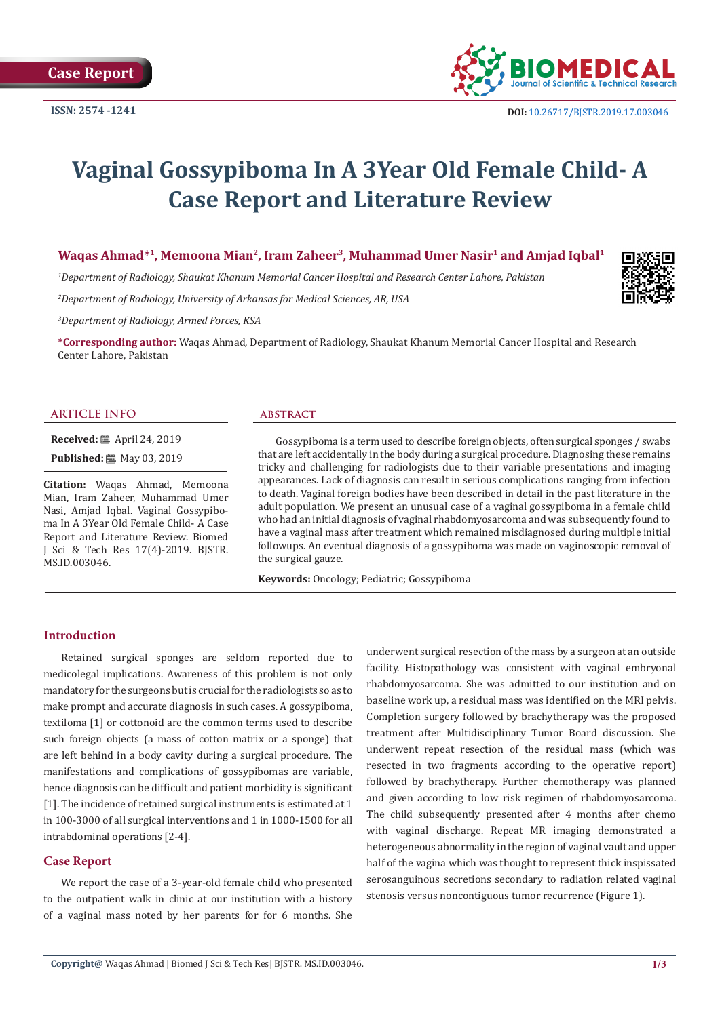

# **Vaginal Gossypiboma In A 3Year Old Female Child- A Case Report and Literature Review**

Waqas Ahmad\*<sup>1</sup>, Memoona Mian<sup>2</sup>, Iram Zaheer<sup>3</sup>, Muhammad Umer Nasir<sup>1</sup> and Amjad Iqbal<sup>1</sup>

*1 Department of Radiology, Shaukat Khanum Memorial Cancer Hospital and Research Center Lahore, Pakistan*

*2 Department of Radiology, University of Arkansas for Medical Sciences, AR, USA*

*3 Department of Radiology, Armed Forces, KSA*

**\*Corresponding author:** Waqas Ahmad, Department of Radiology, Shaukat Khanum Memorial Cancer Hospital and Research Center Lahore, Pakistan

#### **ARTICLE INFO abstract**

**Received:** ■ April 24, 2019

**Published: ■ May 03, 2019** 

**Citation:** Waqas Ahmad, Memoona Mian, Iram Zaheer, Muhammad Umer Nasi, Amjad Iqbal. Vaginal Gossypiboma In A 3Year Old Female Child- A Case Report and Literature Review. Biomed J Sci & Tech Res 17(4)-2019. BJSTR. MS.ID.003046.

Gossypiboma is a term used to describe foreign objects, often surgical sponges / swabs that are left accidentally in the body during a surgical procedure. Diagnosing these remains tricky and challenging for radiologists due to their variable presentations and imaging appearances. Lack of diagnosis can result in serious complications ranging from infection to death. Vaginal foreign bodies have been described in detail in the past literature in the adult population. We present an unusual case of a vaginal gossypiboma in a female child who had an initial diagnosis of vaginal rhabdomyosarcoma and was subsequently found to have a vaginal mass after treatment which remained misdiagnosed during multiple initial followups. An eventual diagnosis of a gossypiboma was made on vaginoscopic removal of the surgical gauze.

**Keywords:** Oncology; Pediatric; Gossypiboma

## **Introduction**

Retained surgical sponges are seldom reported due to medicolegal implications. Awareness of this problem is not only mandatory for the surgeons but is crucial for the radiologists so as to make prompt and accurate diagnosis in such cases. A gossypiboma, textiloma [1] or cottonoid are the common terms used to describe such foreign objects (a mass of cotton matrix or a sponge) that are left behind in a body cavity during a surgical procedure. The manifestations and complications of gossypibomas are variable, hence diagnosis can be difficult and patient morbidity is significant [1]. The incidence of retained surgical instruments is estimated at 1 in 100-3000 of all surgical interventions and 1 in 1000-1500 for all intrabdominal operations [2-4].

# **Case Report**

We report the case of a 3-year-old female child who presented to the outpatient walk in clinic at our institution with a history of a vaginal mass noted by her parents for for 6 months. She

underwent surgical resection of the mass by a surgeon at an outside facility. Histopathology was consistent with vaginal embryonal rhabdomyosarcoma. She was admitted to our institution and on baseline work up, a residual mass was identified on the MRI pelvis. Completion surgery followed by brachytherapy was the proposed treatment after Multidisciplinary Tumor Board discussion. She underwent repeat resection of the residual mass (which was resected in two fragments according to the operative report) followed by brachytherapy. Further chemotherapy was planned and given according to low risk regimen of rhabdomyosarcoma. The child subsequently presented after 4 months after chemo with vaginal discharge. Repeat MR imaging demonstrated a heterogeneous abnormality in the region of vaginal vault and upper half of the vagina which was thought to represent thick inspissated serosanguinous secretions secondary to radiation related vaginal stenosis versus noncontiguous tumor recurrence (Figure 1).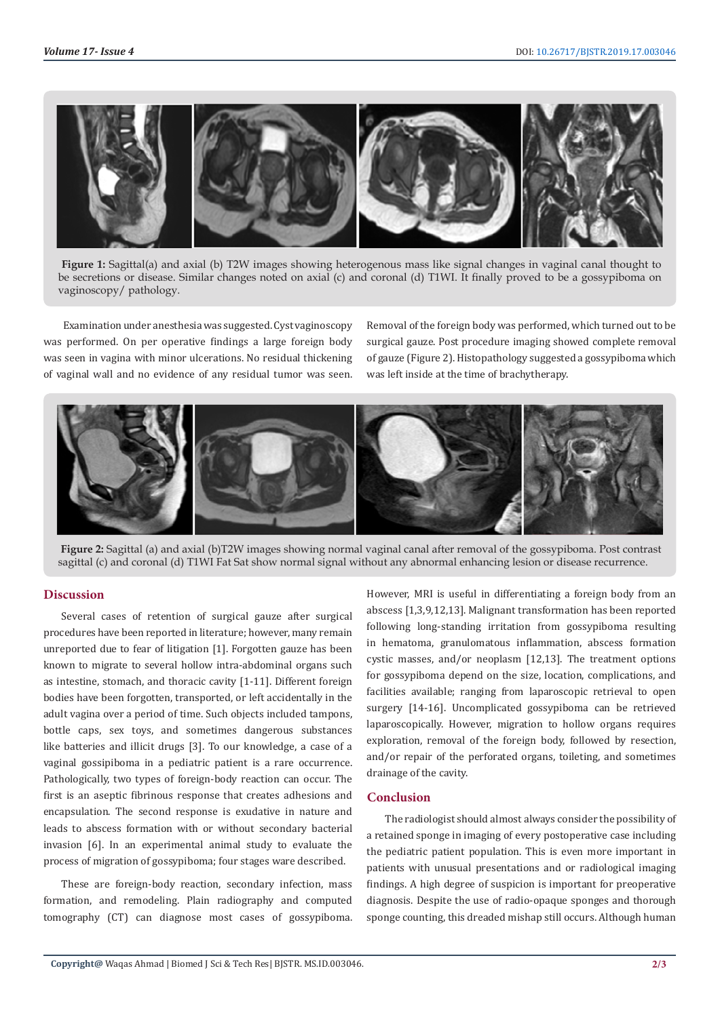

**Figure 1:** Sagittal(a) and axial (b) T2W images showing heterogenous mass like signal changes in vaginal canal thought to be secretions or disease. Similar changes noted on axial (c) and coronal (d) T1WI. It finally proved to be a gossypiboma on vaginoscopy/ pathology.

 Examination under anesthesia was suggested. Cyst vaginoscopy was performed. On per operative findings a large foreign body was seen in vagina with minor ulcerations. No residual thickening of vaginal wall and no evidence of any residual tumor was seen. Removal of the foreign body was performed, which turned out to be surgical gauze. Post procedure imaging showed complete removal of gauze (Figure 2). Histopathology suggested a gossypiboma which was left inside at the time of brachytherapy.





# **Discussion**

Several cases of retention of surgical gauze after surgical procedures have been reported in literature; however, many remain unreported due to fear of litigation [1]. Forgotten gauze has been known to migrate to several hollow intra-abdominal organs such as intestine, stomach, and thoracic cavity [1-11]. Different foreign bodies have been forgotten, transported, or left accidentally in the adult vagina over a period of time. Such objects included tampons, bottle caps, sex toys, and sometimes dangerous substances like batteries and illicit drugs [3]. To our knowledge, a case of a vaginal gossipiboma in a pediatric patient is a rare occurrence. Pathologically, two types of foreign-body reaction can occur. The first is an aseptic fibrinous response that creates adhesions and encapsulation. The second response is exudative in nature and leads to abscess formation with or without secondary bacterial invasion [6]. In an experimental animal study to evaluate the process of migration of gossypiboma; four stages ware described.

These are foreign-body reaction, secondary infection, mass formation, and remodeling. Plain radiography and computed tomography (CT) can diagnose most cases of gossypiboma. However, MRI is useful in differentiating a foreign body from an abscess [1,3,9,12,13]. Malignant transformation has been reported following long-standing irritation from gossypiboma resulting in hematoma, granulomatous inflammation, abscess formation cystic masses, and/or neoplasm [12,13]. The treatment options for gossypiboma depend on the size, location, complications, and facilities available; ranging from laparoscopic retrieval to open surgery [14-16]. Uncomplicated gossypiboma can be retrieved laparoscopically. However, migration to hollow organs requires exploration, removal of the foreign body, followed by resection, and/or repair of the perforated organs, toileting, and sometimes drainage of the cavity.

# **Conclusion**

The radiologist should almost always consider the possibility of a retained sponge in imaging of every postoperative case including the pediatric patient population. This is even more important in patients with unusual presentations and or radiological imaging findings. A high degree of suspicion is important for preoperative diagnosis. Despite the use of radio-opaque sponges and thorough sponge counting, this dreaded mishap still occurs. Although human